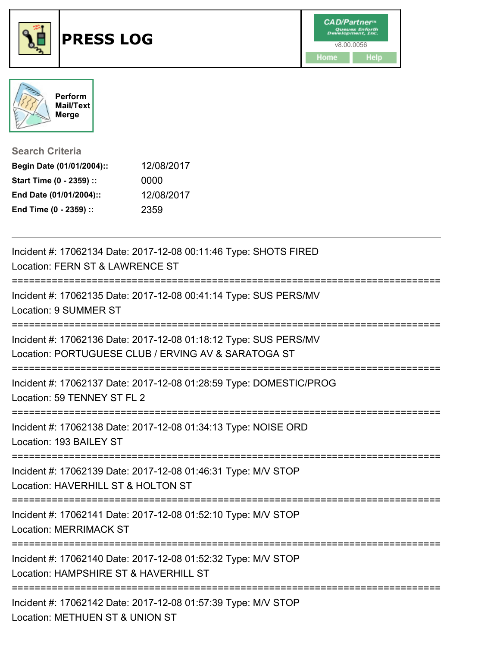





**Search Criteria**

| Begin Date (01/01/2004):: | 12/08/2017 |
|---------------------------|------------|
| Start Time (0 - 2359) ::  | 0000       |
| End Date (01/01/2004)::   | 12/08/2017 |
| End Time (0 - 2359) ::    | 2359       |

| Incident #: 17062134 Date: 2017-12-08 00:11:46 Type: SHOTS FIRED<br>Location: FERN ST & LAWRENCE ST                     |
|-------------------------------------------------------------------------------------------------------------------------|
| ================<br>Incident #: 17062135 Date: 2017-12-08 00:41:14 Type: SUS PERS/MV<br><b>Location: 9 SUMMER ST</b>    |
| Incident #: 17062136 Date: 2017-12-08 01:18:12 Type: SUS PERS/MV<br>Location: PORTUGUESE CLUB / ERVING AV & SARATOGA ST |
| Incident #: 17062137 Date: 2017-12-08 01:28:59 Type: DOMESTIC/PROG<br>Location: 59 TENNEY ST FL 2                       |
| Incident #: 17062138 Date: 2017-12-08 01:34:13 Type: NOISE ORD<br>Location: 193 BAILEY ST                               |
| Incident #: 17062139 Date: 2017-12-08 01:46:31 Type: M/V STOP<br>Location: HAVERHILL ST & HOLTON ST                     |
| Incident #: 17062141 Date: 2017-12-08 01:52:10 Type: M/V STOP<br>Location: MERRIMACK ST                                 |
| Incident #: 17062140 Date: 2017-12-08 01:52:32 Type: M/V STOP<br>Location: HAMPSHIRE ST & HAVERHILL ST                  |
| Incident #: 17062142 Date: 2017-12-08 01:57:39 Type: M/V STOP<br>Location: METHUEN ST & UNION ST                        |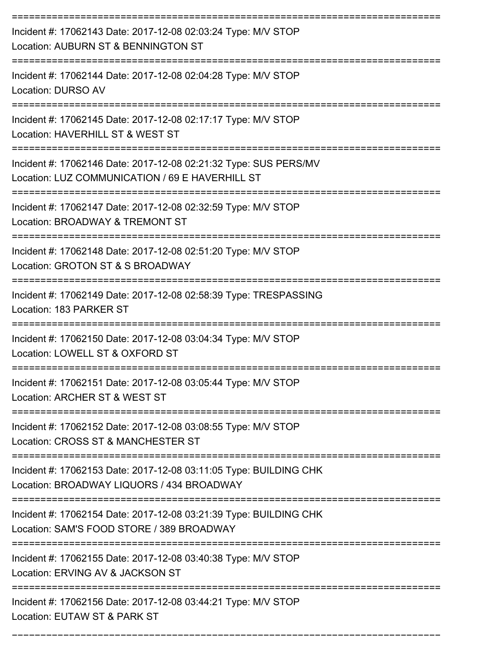| Incident #: 17062143 Date: 2017-12-08 02:03:24 Type: M/V STOP<br>Location: AUBURN ST & BENNINGTON ST                                              |
|---------------------------------------------------------------------------------------------------------------------------------------------------|
| Incident #: 17062144 Date: 2017-12-08 02:04:28 Type: M/V STOP<br>Location: DURSO AV                                                               |
| Incident #: 17062145 Date: 2017-12-08 02:17:17 Type: M/V STOP<br>Location: HAVERHILL ST & WEST ST                                                 |
| Incident #: 17062146 Date: 2017-12-08 02:21:32 Type: SUS PERS/MV<br>Location: LUZ COMMUNICATION / 69 E HAVERHILL ST                               |
| Incident #: 17062147 Date: 2017-12-08 02:32:59 Type: M/V STOP<br>Location: BROADWAY & TREMONT ST                                                  |
| Incident #: 17062148 Date: 2017-12-08 02:51:20 Type: M/V STOP<br>Location: GROTON ST & S BROADWAY                                                 |
| Incident #: 17062149 Date: 2017-12-08 02:58:39 Type: TRESPASSING<br>Location: 183 PARKER ST                                                       |
| Incident #: 17062150 Date: 2017-12-08 03:04:34 Type: M/V STOP<br>Location: LOWELL ST & OXFORD ST                                                  |
| Incident #: 17062151 Date: 2017-12-08 03:05:44 Type: M/V STOP<br>Location: ARCHER ST & WEST ST                                                    |
| Incident #: 17062152 Date: 2017-12-08 03:08:55 Type: M/V STOP<br>Location: CROSS ST & MANCHESTER ST                                               |
| Incident #: 17062153 Date: 2017-12-08 03:11:05 Type: BUILDING CHK<br>Location: BROADWAY LIQUORS / 434 BROADWAY                                    |
| -------------------------------<br>Incident #: 17062154 Date: 2017-12-08 03:21:39 Type: BUILDING CHK<br>Location: SAM'S FOOD STORE / 389 BROADWAY |
| Incident #: 17062155 Date: 2017-12-08 03:40:38 Type: M/V STOP<br>Location: ERVING AV & JACKSON ST                                                 |
| Incident #: 17062156 Date: 2017-12-08 03:44:21 Type: M/V STOP<br>Location: EUTAW ST & PARK ST                                                     |

===========================================================================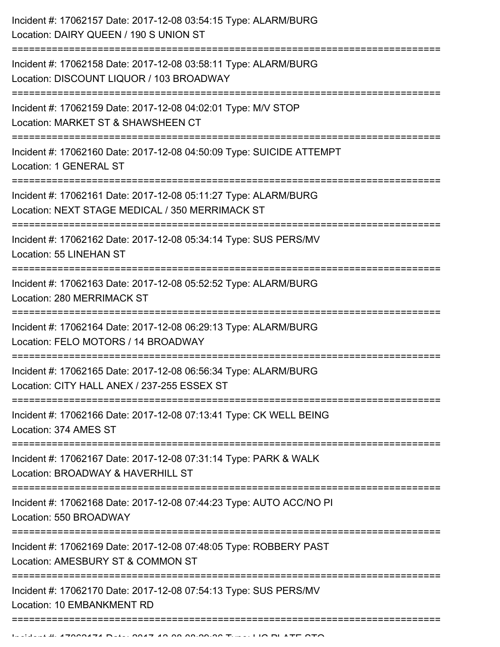| Incident #: 17062158 Date: 2017-12-08 03:58:11 Type: ALARM/BURG<br>Location: DISCOUNT LIQUOR / 103 BROADWAY<br>------------------------------<br>Incident #: 17062159 Date: 2017-12-08 04:02:01 Type: M/V STOP<br>Location: MARKET ST & SHAWSHEEN CT<br>Incident #: 17062160 Date: 2017-12-08 04:50:09 Type: SUICIDE ATTEMPT<br>Location: 1 GENERAL ST<br>Incident #: 17062161 Date: 2017-12-08 05:11:27 Type: ALARM/BURG<br>Location: NEXT STAGE MEDICAL / 350 MERRIMACK ST<br>Incident #: 17062162 Date: 2017-12-08 05:34:14 Type: SUS PERS/MV<br>Location: 55 LINEHAN ST<br>Incident #: 17062163 Date: 2017-12-08 05:52:52 Type: ALARM/BURG<br>Location: 280 MERRIMACK ST<br>Incident #: 17062164 Date: 2017-12-08 06:29:13 Type: ALARM/BURG<br>Location: FELO MOTORS / 14 BROADWAY<br>-----------------------------------<br>---------------------<br>Incident #: 17062165 Date: 2017-12-08 06:56:34 Type: ALARM/BURG<br>Location: CITY HALL ANEX / 237-255 ESSEX ST<br>Incident #: 17062166 Date: 2017-12-08 07:13:41 Type: CK WELL BEING<br>Location: 374 AMES ST<br>Incident #: 17062167 Date: 2017-12-08 07:31:14 Type: PARK & WALK<br>Location: BROADWAY & HAVERHILL ST<br>Incident #: 17062168 Date: 2017-12-08 07:44:23 Type: AUTO ACC/NO PI<br>Location: 550 BROADWAY<br>Incident #: 17062169 Date: 2017-12-08 07:48:05 Type: ROBBERY PAST<br>Location: AMESBURY ST & COMMON ST<br>Incident #: 17062170 Date: 2017-12-08 07:54:13 Type: SUS PERS/MV<br>Location: 10 EMBANKMENT RD | Incident #: 17062157 Date: 2017-12-08 03:54:15 Type: ALARM/BURG<br>Location: DAIRY QUEEN / 190 S UNION ST |
|-----------------------------------------------------------------------------------------------------------------------------------------------------------------------------------------------------------------------------------------------------------------------------------------------------------------------------------------------------------------------------------------------------------------------------------------------------------------------------------------------------------------------------------------------------------------------------------------------------------------------------------------------------------------------------------------------------------------------------------------------------------------------------------------------------------------------------------------------------------------------------------------------------------------------------------------------------------------------------------------------------------------------------------------------------------------------------------------------------------------------------------------------------------------------------------------------------------------------------------------------------------------------------------------------------------------------------------------------------------------------------------------------------------------------------------------------------------------------------------------------|-----------------------------------------------------------------------------------------------------------|
|                                                                                                                                                                                                                                                                                                                                                                                                                                                                                                                                                                                                                                                                                                                                                                                                                                                                                                                                                                                                                                                                                                                                                                                                                                                                                                                                                                                                                                                                                               |                                                                                                           |
|                                                                                                                                                                                                                                                                                                                                                                                                                                                                                                                                                                                                                                                                                                                                                                                                                                                                                                                                                                                                                                                                                                                                                                                                                                                                                                                                                                                                                                                                                               |                                                                                                           |
|                                                                                                                                                                                                                                                                                                                                                                                                                                                                                                                                                                                                                                                                                                                                                                                                                                                                                                                                                                                                                                                                                                                                                                                                                                                                                                                                                                                                                                                                                               |                                                                                                           |
|                                                                                                                                                                                                                                                                                                                                                                                                                                                                                                                                                                                                                                                                                                                                                                                                                                                                                                                                                                                                                                                                                                                                                                                                                                                                                                                                                                                                                                                                                               |                                                                                                           |
|                                                                                                                                                                                                                                                                                                                                                                                                                                                                                                                                                                                                                                                                                                                                                                                                                                                                                                                                                                                                                                                                                                                                                                                                                                                                                                                                                                                                                                                                                               |                                                                                                           |
|                                                                                                                                                                                                                                                                                                                                                                                                                                                                                                                                                                                                                                                                                                                                                                                                                                                                                                                                                                                                                                                                                                                                                                                                                                                                                                                                                                                                                                                                                               |                                                                                                           |
|                                                                                                                                                                                                                                                                                                                                                                                                                                                                                                                                                                                                                                                                                                                                                                                                                                                                                                                                                                                                                                                                                                                                                                                                                                                                                                                                                                                                                                                                                               |                                                                                                           |
|                                                                                                                                                                                                                                                                                                                                                                                                                                                                                                                                                                                                                                                                                                                                                                                                                                                                                                                                                                                                                                                                                                                                                                                                                                                                                                                                                                                                                                                                                               |                                                                                                           |
|                                                                                                                                                                                                                                                                                                                                                                                                                                                                                                                                                                                                                                                                                                                                                                                                                                                                                                                                                                                                                                                                                                                                                                                                                                                                                                                                                                                                                                                                                               |                                                                                                           |
|                                                                                                                                                                                                                                                                                                                                                                                                                                                                                                                                                                                                                                                                                                                                                                                                                                                                                                                                                                                                                                                                                                                                                                                                                                                                                                                                                                                                                                                                                               |                                                                                                           |
|                                                                                                                                                                                                                                                                                                                                                                                                                                                                                                                                                                                                                                                                                                                                                                                                                                                                                                                                                                                                                                                                                                                                                                                                                                                                                                                                                                                                                                                                                               |                                                                                                           |
|                                                                                                                                                                                                                                                                                                                                                                                                                                                                                                                                                                                                                                                                                                                                                                                                                                                                                                                                                                                                                                                                                                                                                                                                                                                                                                                                                                                                                                                                                               |                                                                                                           |
|                                                                                                                                                                                                                                                                                                                                                                                                                                                                                                                                                                                                                                                                                                                                                                                                                                                                                                                                                                                                                                                                                                                                                                                                                                                                                                                                                                                                                                                                                               |                                                                                                           |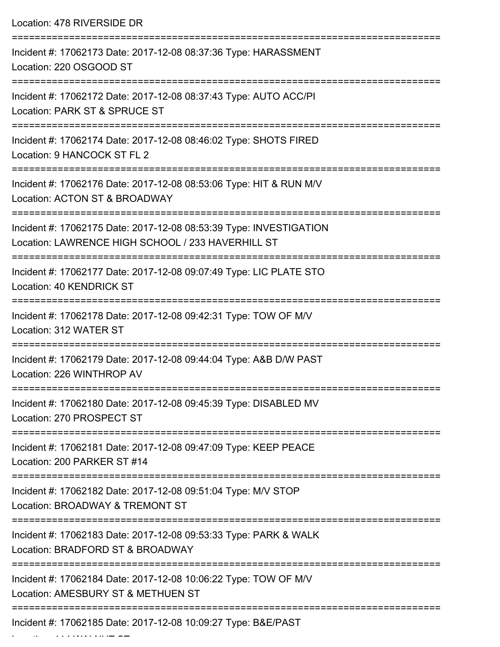Location: 478 RIVERSIDE DR =========================================================================== Incident #: 17062173 Date: 2017-12-08 08:37:36 Type: HARASSMENT Location: 220 OSGOOD ST =========================================================================== Incident #: 17062172 Date: 2017-12-08 08:37:43 Type: AUTO ACC/PI Location: PARK ST & SPRUCE ST =========================================================================== Incident #: 17062174 Date: 2017-12-08 08:46:02 Type: SHOTS FIRED Location: 9 HANCOCK ST FL 2 =========================================================================== Incident #: 17062176 Date: 2017-12-08 08:53:06 Type: HIT & RUN M/V Location: ACTON ST & BROADWAY =========================================================================== Incident #: 17062175 Date: 2017-12-08 08:53:39 Type: INVESTIGATION Location: LAWRENCE HIGH SCHOOL / 233 HAVERHILL ST =========================================================================== Incident #: 17062177 Date: 2017-12-08 09:07:49 Type: LIC PLATE STO Location: 40 KENDRICK ST =========================================================================== Incident #: 17062178 Date: 2017-12-08 09:42:31 Type: TOW OF M/V Location: 312 WATER ST =========================================================================== Incident #: 17062179 Date: 2017-12-08 09:44:04 Type: A&B D/W PAST Location: 226 WINTHROP AV =========================================================================== Incident #: 17062180 Date: 2017-12-08 09:45:39 Type: DISABLED MV Location: 270 PROSPECT ST =========================================================================== Incident #: 17062181 Date: 2017-12-08 09:47:09 Type: KEEP PEACE Location: 200 PARKER ST #14 =========================================================================== Incident #: 17062182 Date: 2017-12-08 09:51:04 Type: M/V STOP Location: BROADWAY & TREMONT ST =========================================================================== Incident #: 17062183 Date: 2017-12-08 09:53:33 Type: PARK & WALK Location: BRADFORD ST & BROADWAY =========================================================================== Incident #: 17062184 Date: 2017-12-08 10:06:22 Type: TOW OF M/V Location: AMESBURY ST & METHUEN ST =========================================================================== Incident #: 17062185 Date: 2017-12-08 10:09:27 Type: B&E/PAST

Location: 114 WALNUT ST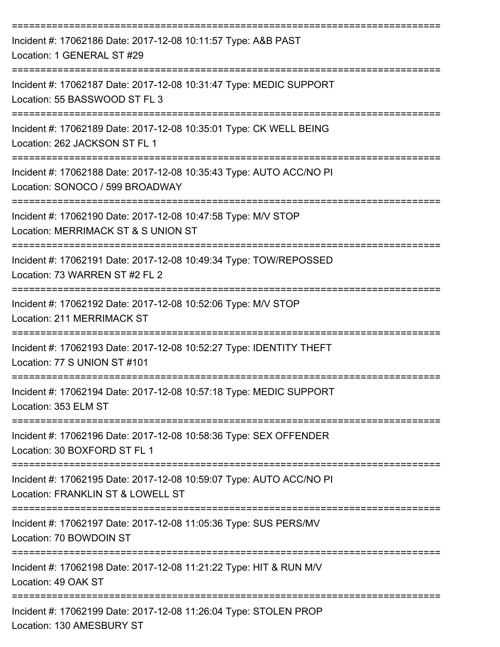| Incident #: 17062186 Date: 2017-12-08 10:11:57 Type: A&B PAST<br>Location: 1 GENERAL ST #29                                                                       |
|-------------------------------------------------------------------------------------------------------------------------------------------------------------------|
| Incident #: 17062187 Date: 2017-12-08 10:31:47 Type: MEDIC SUPPORT<br>Location: 55 BASSWOOD ST FL 3                                                               |
| Incident #: 17062189 Date: 2017-12-08 10:35:01 Type: CK WELL BEING<br>Location: 262 JACKSON ST FL 1                                                               |
| Incident #: 17062188 Date: 2017-12-08 10:35:43 Type: AUTO ACC/NO PI<br>Location: SONOCO / 599 BROADWAY                                                            |
| Incident #: 17062190 Date: 2017-12-08 10:47:58 Type: M/V STOP<br>Location: MERRIMACK ST & S UNION ST                                                              |
| Incident #: 17062191 Date: 2017-12-08 10:49:34 Type: TOW/REPOSSED<br>Location: 73 WARREN ST #2 FL 2                                                               |
| Incident #: 17062192 Date: 2017-12-08 10:52:06 Type: M/V STOP<br>Location: 211 MERRIMACK ST                                                                       |
| Incident #: 17062193 Date: 2017-12-08 10:52:27 Type: IDENTITY THEFT<br>Location: 77 S UNION ST #101                                                               |
| Incident #: 17062194 Date: 2017-12-08 10:57:18 Type: MEDIC SUPPORT<br>Location: 353 ELM ST                                                                        |
| ---------------------------<br>Incident #: 17062196 Date: 2017-12-08 10:58:36 Type: SEX OFFENDER<br>Location: 30 BOXFORD ST FL 1                                  |
| Incident #: 17062195 Date: 2017-12-08 10:59:07 Type: AUTO ACC/NO PI<br>Location: FRANKLIN ST & LOWELL ST                                                          |
| ==========================<br>====================================<br>Incident #: 17062197 Date: 2017-12-08 11:05:36 Type: SUS PERS/MV<br>Location: 70 BOWDOIN ST |
| Incident #: 17062198 Date: 2017-12-08 11:21:22 Type: HIT & RUN M/V<br>Location: 49 OAK ST                                                                         |
| Incident #: 17062199 Date: 2017-12-08 11:26:04 Type: STOLEN PROP<br>Location: 130 AMESBURY ST                                                                     |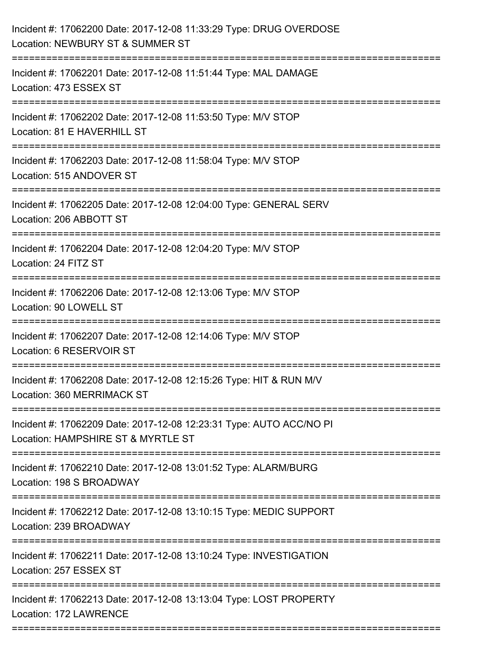| Incident #: 17062200 Date: 2017-12-08 11:33:29 Type: DRUG OVERDOSE<br>Location: NEWBURY ST & SUMMER ST               |
|----------------------------------------------------------------------------------------------------------------------|
| Incident #: 17062201 Date: 2017-12-08 11:51:44 Type: MAL DAMAGE<br>Location: 473 ESSEX ST                            |
| Incident #: 17062202 Date: 2017-12-08 11:53:50 Type: M/V STOP<br>Location: 81 E HAVERHILL ST                         |
| Incident #: 17062203 Date: 2017-12-08 11:58:04 Type: M/V STOP<br>Location: 515 ANDOVER ST                            |
| Incident #: 17062205 Date: 2017-12-08 12:04:00 Type: GENERAL SERV<br>Location: 206 ABBOTT ST                         |
| Incident #: 17062204 Date: 2017-12-08 12:04:20 Type: M/V STOP<br>Location: 24 FITZ ST                                |
| Incident #: 17062206 Date: 2017-12-08 12:13:06 Type: M/V STOP<br>Location: 90 LOWELL ST<br>------------------------- |
| Incident #: 17062207 Date: 2017-12-08 12:14:06 Type: M/V STOP<br>Location: 6 RESERVOIR ST                            |
| Incident #: 17062208 Date: 2017-12-08 12:15:26 Type: HIT & RUN M/V<br>Location: 360 MERRIMACK ST                     |
| Incident #: 17062209 Date: 2017-12-08 12:23:31 Type: AUTO ACC/NO PI<br>Location: HAMPSHIRE ST & MYRTLE ST            |
| Incident #: 17062210 Date: 2017-12-08 13:01:52 Type: ALARM/BURG<br>Location: 198 S BROADWAY                          |
| Incident #: 17062212 Date: 2017-12-08 13:10:15 Type: MEDIC SUPPORT<br>Location: 239 BROADWAY                         |
| Incident #: 17062211 Date: 2017-12-08 13:10:24 Type: INVESTIGATION<br>Location: 257 ESSEX ST                         |
| Incident #: 17062213 Date: 2017-12-08 13:13:04 Type: LOST PROPERTY<br>Location: 172 LAWRENCE                         |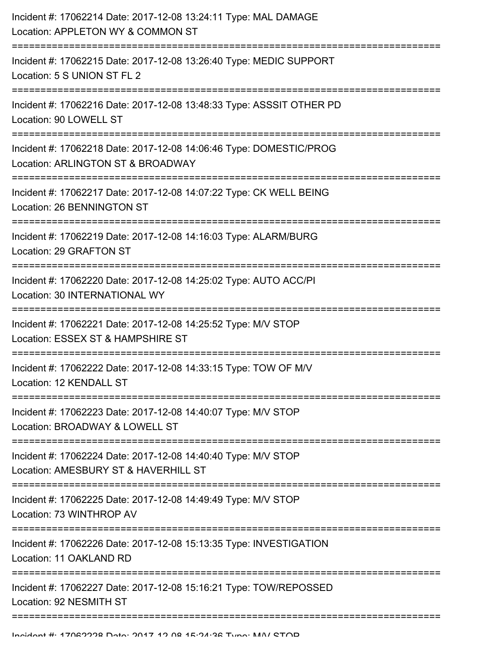| Incident #: 17062214 Date: 2017-12-08 13:24:11 Type: MAL DAMAGE<br>Location: APPLETON WY & COMMON ST    |
|---------------------------------------------------------------------------------------------------------|
| Incident #: 17062215 Date: 2017-12-08 13:26:40 Type: MEDIC SUPPORT<br>Location: 5 S UNION ST FL 2       |
| Incident #: 17062216 Date: 2017-12-08 13:48:33 Type: ASSSIT OTHER PD<br>Location: 90 LOWELL ST          |
| Incident #: 17062218 Date: 2017-12-08 14:06:46 Type: DOMESTIC/PROG<br>Location: ARLINGTON ST & BROADWAY |
| Incident #: 17062217 Date: 2017-12-08 14:07:22 Type: CK WELL BEING<br>Location: 26 BENNINGTON ST        |
| Incident #: 17062219 Date: 2017-12-08 14:16:03 Type: ALARM/BURG<br>Location: 29 GRAFTON ST              |
| Incident #: 17062220 Date: 2017-12-08 14:25:02 Type: AUTO ACC/PI<br>Location: 30 INTERNATIONAL WY       |
| Incident #: 17062221 Date: 2017-12-08 14:25:52 Type: M/V STOP<br>Location: ESSEX ST & HAMPSHIRE ST      |
| Incident #: 17062222 Date: 2017-12-08 14:33:15 Type: TOW OF M/V<br>Location: 12 KENDALL ST              |
| Incident #: 17062223 Date: 2017-12-08 14:40:07 Type: M/V STOP<br>Location: BROADWAY & LOWELL ST         |
| Incident #: 17062224 Date: 2017-12-08 14:40:40 Type: M/V STOP<br>Location: AMESBURY ST & HAVERHILL ST   |
| Incident #: 17062225 Date: 2017-12-08 14:49:49 Type: M/V STOP<br>Location: 73 WINTHROP AV               |
| Incident #: 17062226 Date: 2017-12-08 15:13:35 Type: INVESTIGATION<br>Location: 11 OAKLAND RD           |
| Incident #: 17062227 Date: 2017-12-08 15:16:21 Type: TOW/REPOSSED<br>Location: 92 NESMITH ST            |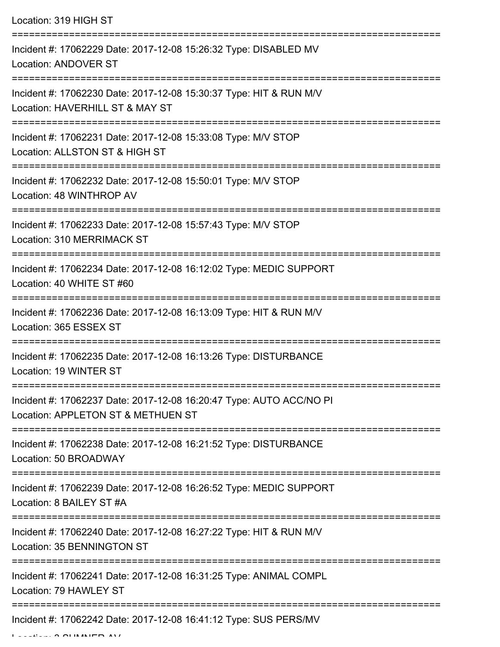Location: 319 HIGH ST

| Incident #: 17062229 Date: 2017-12-08 15:26:32 Type: DISABLED MV<br><b>Location: ANDOVER ST</b>           |
|-----------------------------------------------------------------------------------------------------------|
| Incident #: 17062230 Date: 2017-12-08 15:30:37 Type: HIT & RUN M/V<br>Location: HAVERHILL ST & MAY ST     |
| Incident #: 17062231 Date: 2017-12-08 15:33:08 Type: M/V STOP<br>Location: ALLSTON ST & HIGH ST           |
| Incident #: 17062232 Date: 2017-12-08 15:50:01 Type: M/V STOP<br>Location: 48 WINTHROP AV                 |
| Incident #: 17062233 Date: 2017-12-08 15:57:43 Type: M/V STOP<br>Location: 310 MERRIMACK ST               |
| Incident #: 17062234 Date: 2017-12-08 16:12:02 Type: MEDIC SUPPORT<br>Location: 40 WHITE ST #60           |
| Incident #: 17062236 Date: 2017-12-08 16:13:09 Type: HIT & RUN M/V<br>Location: 365 ESSEX ST              |
| Incident #: 17062235 Date: 2017-12-08 16:13:26 Type: DISTURBANCE<br>Location: 19 WINTER ST                |
| Incident #: 17062237 Date: 2017-12-08 16:20:47 Type: AUTO ACC/NO PI<br>Location: APPLETON ST & METHUEN ST |
| Incident #: 17062238 Date: 2017-12-08 16:21:52 Type: DISTURBANCE<br>Location: 50 BROADWAY                 |
| Incident #: 17062239 Date: 2017-12-08 16:26:52 Type: MEDIC SUPPORT<br>Location: 8 BAILEY ST #A            |
| Incident #: 17062240 Date: 2017-12-08 16:27:22 Type: HIT & RUN M/V<br>Location: 35 BENNINGTON ST          |
| Incident #: 17062241 Date: 2017-12-08 16:31:25 Type: ANIMAL COMPL<br>Location: 79 HAWLEY ST               |
| Incident #: 17062242 Date: 2017-12-08 16:41:12 Type: SUS PERS/MV                                          |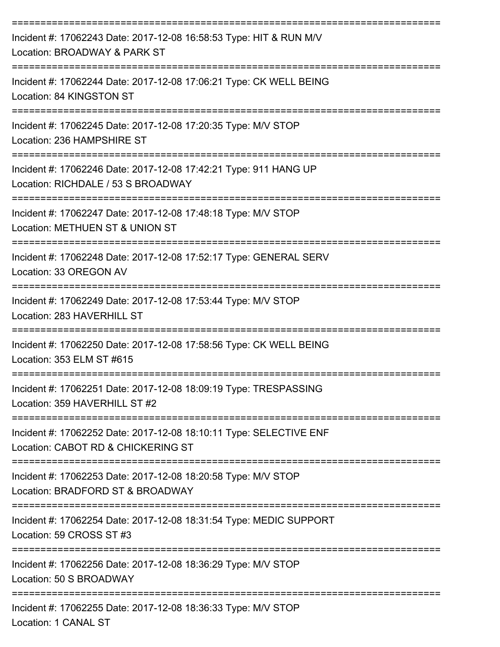| Incident #: 17062243 Date: 2017-12-08 16:58:53 Type: HIT & RUN M/V<br>Location: BROADWAY & PARK ST                      |
|-------------------------------------------------------------------------------------------------------------------------|
| Incident #: 17062244 Date: 2017-12-08 17:06:21 Type: CK WELL BEING<br>Location: 84 KINGSTON ST                          |
| Incident #: 17062245 Date: 2017-12-08 17:20:35 Type: M/V STOP<br>Location: 236 HAMPSHIRE ST                             |
| Incident #: 17062246 Date: 2017-12-08 17:42:21 Type: 911 HANG UP<br>Location: RICHDALE / 53 S BROADWAY                  |
| Incident #: 17062247 Date: 2017-12-08 17:48:18 Type: M/V STOP<br>Location: METHUEN ST & UNION ST                        |
| Incident #: 17062248 Date: 2017-12-08 17:52:17 Type: GENERAL SERV<br>Location: 33 OREGON AV                             |
| Incident #: 17062249 Date: 2017-12-08 17:53:44 Type: M/V STOP<br>Location: 283 HAVERHILL ST                             |
| Incident #: 17062250 Date: 2017-12-08 17:58:56 Type: CK WELL BEING<br>Location: 353 ELM ST #615                         |
| Incident #: 17062251 Date: 2017-12-08 18:09:19 Type: TRESPASSING<br>Location: 359 HAVERHILL ST #2                       |
| Incident #: 17062252 Date: 2017-12-08 18:10:11 Type: SELECTIVE ENF<br>Location: CABOT RD & CHICKERING ST                |
| Incident #: 17062253 Date: 2017-12-08 18:20:58 Type: M/V STOP<br>Location: BRADFORD ST & BROADWAY                       |
| =====================<br>Incident #: 17062254 Date: 2017-12-08 18:31:54 Type: MEDIC SUPPORT<br>Location: 59 CROSS ST #3 |
| Incident #: 17062256 Date: 2017-12-08 18:36:29 Type: M/V STOP<br>Location: 50 S BROADWAY                                |
| Incident #: 17062255 Date: 2017-12-08 18:36:33 Type: M/V STOP<br>Location: 1 CANAL ST                                   |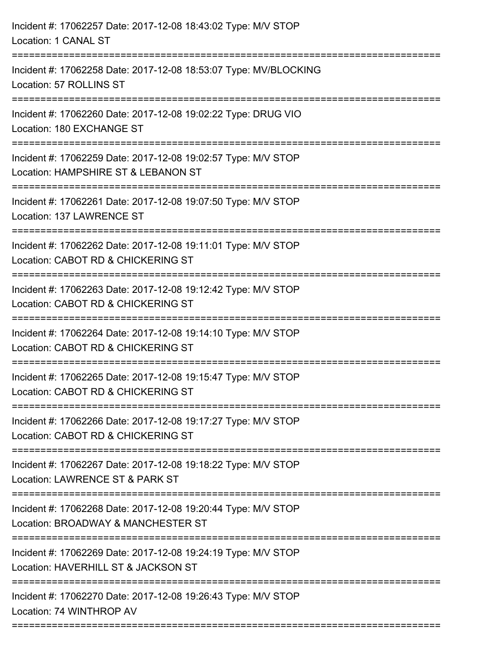| Incident #: 17062258 Date: 2017-12-08 18:53:07 Type: MV/BLOCKING<br>Location: 57 ROLLINS ST<br>Incident #: 17062260 Date: 2017-12-08 19:02:22 Type: DRUG VIO<br>Location: 180 EXCHANGE ST<br>Incident #: 17062259 Date: 2017-12-08 19:02:57 Type: M/V STOP<br>Location: HAMPSHIRE ST & LEBANON ST<br>Incident #: 17062261 Date: 2017-12-08 19:07:50 Type: M/V STOP<br>Location: 137 LAWRENCE ST<br>Incident #: 17062262 Date: 2017-12-08 19:11:01 Type: M/V STOP<br>Location: CABOT RD & CHICKERING ST<br>:===============================<br>--------------------------<br>Incident #: 17062263 Date: 2017-12-08 19:12:42 Type: M/V STOP<br>Location: CABOT RD & CHICKERING ST<br>Incident #: 17062264 Date: 2017-12-08 19:14:10 Type: M/V STOP<br>Location: CABOT RD & CHICKERING ST<br>================<br>---------------------<br>Incident #: 17062265 Date: 2017-12-08 19:15:47 Type: M/V STOP<br>Location: CABOT RD & CHICKERING ST<br>Incident #: 17062266 Date: 2017-12-08 19:17:27 Type: M/V STOP<br>Location: CABOT RD & CHICKERING ST<br>Incident #: 17062267 Date: 2017-12-08 19:18:22 Type: M/V STOP<br>Location: LAWRENCE ST & PARK ST<br>Incident #: 17062268 Date: 2017-12-08 19:20:44 Type: M/V STOP<br>Location: BROADWAY & MANCHESTER ST<br>Incident #: 17062269 Date: 2017-12-08 19:24:19 Type: M/V STOP<br>Location: HAVERHILL ST & JACKSON ST<br>Incident #: 17062270 Date: 2017-12-08 19:26:43 Type: M/V STOP<br>Location: 74 WINTHROP AV | Incident #: 17062257 Date: 2017-12-08 18:43:02 Type: M/V STOP<br>Location: 1 CANAL ST |
|-------------------------------------------------------------------------------------------------------------------------------------------------------------------------------------------------------------------------------------------------------------------------------------------------------------------------------------------------------------------------------------------------------------------------------------------------------------------------------------------------------------------------------------------------------------------------------------------------------------------------------------------------------------------------------------------------------------------------------------------------------------------------------------------------------------------------------------------------------------------------------------------------------------------------------------------------------------------------------------------------------------------------------------------------------------------------------------------------------------------------------------------------------------------------------------------------------------------------------------------------------------------------------------------------------------------------------------------------------------------------------------------------------------------------------------------------------------------|---------------------------------------------------------------------------------------|
|                                                                                                                                                                                                                                                                                                                                                                                                                                                                                                                                                                                                                                                                                                                                                                                                                                                                                                                                                                                                                                                                                                                                                                                                                                                                                                                                                                                                                                                                   |                                                                                       |
|                                                                                                                                                                                                                                                                                                                                                                                                                                                                                                                                                                                                                                                                                                                                                                                                                                                                                                                                                                                                                                                                                                                                                                                                                                                                                                                                                                                                                                                                   |                                                                                       |
|                                                                                                                                                                                                                                                                                                                                                                                                                                                                                                                                                                                                                                                                                                                                                                                                                                                                                                                                                                                                                                                                                                                                                                                                                                                                                                                                                                                                                                                                   |                                                                                       |
|                                                                                                                                                                                                                                                                                                                                                                                                                                                                                                                                                                                                                                                                                                                                                                                                                                                                                                                                                                                                                                                                                                                                                                                                                                                                                                                                                                                                                                                                   |                                                                                       |
|                                                                                                                                                                                                                                                                                                                                                                                                                                                                                                                                                                                                                                                                                                                                                                                                                                                                                                                                                                                                                                                                                                                                                                                                                                                                                                                                                                                                                                                                   |                                                                                       |
|                                                                                                                                                                                                                                                                                                                                                                                                                                                                                                                                                                                                                                                                                                                                                                                                                                                                                                                                                                                                                                                                                                                                                                                                                                                                                                                                                                                                                                                                   |                                                                                       |
|                                                                                                                                                                                                                                                                                                                                                                                                                                                                                                                                                                                                                                                                                                                                                                                                                                                                                                                                                                                                                                                                                                                                                                                                                                                                                                                                                                                                                                                                   |                                                                                       |
|                                                                                                                                                                                                                                                                                                                                                                                                                                                                                                                                                                                                                                                                                                                                                                                                                                                                                                                                                                                                                                                                                                                                                                                                                                                                                                                                                                                                                                                                   |                                                                                       |
|                                                                                                                                                                                                                                                                                                                                                                                                                                                                                                                                                                                                                                                                                                                                                                                                                                                                                                                                                                                                                                                                                                                                                                                                                                                                                                                                                                                                                                                                   |                                                                                       |
|                                                                                                                                                                                                                                                                                                                                                                                                                                                                                                                                                                                                                                                                                                                                                                                                                                                                                                                                                                                                                                                                                                                                                                                                                                                                                                                                                                                                                                                                   |                                                                                       |
|                                                                                                                                                                                                                                                                                                                                                                                                                                                                                                                                                                                                                                                                                                                                                                                                                                                                                                                                                                                                                                                                                                                                                                                                                                                                                                                                                                                                                                                                   |                                                                                       |
|                                                                                                                                                                                                                                                                                                                                                                                                                                                                                                                                                                                                                                                                                                                                                                                                                                                                                                                                                                                                                                                                                                                                                                                                                                                                                                                                                                                                                                                                   |                                                                                       |
|                                                                                                                                                                                                                                                                                                                                                                                                                                                                                                                                                                                                                                                                                                                                                                                                                                                                                                                                                                                                                                                                                                                                                                                                                                                                                                                                                                                                                                                                   |                                                                                       |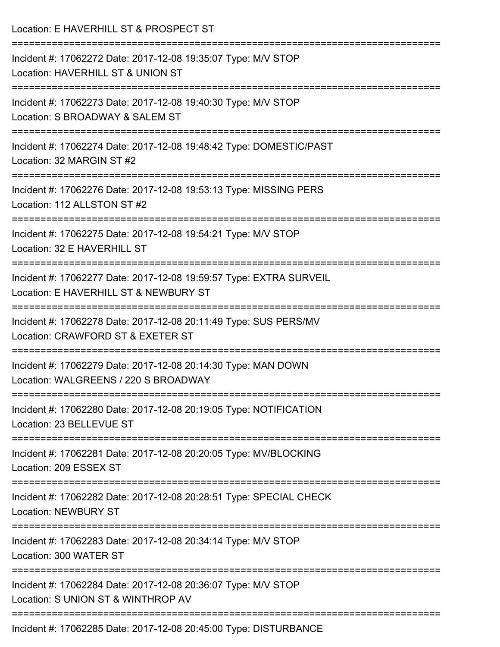| Location: E HAVERHILL ST & PROSPECT ST                                                                                                |
|---------------------------------------------------------------------------------------------------------------------------------------|
| Incident #: 17062272 Date: 2017-12-08 19:35:07 Type: M/V STOP<br>Location: HAVERHILL ST & UNION ST<br>------------------------------- |
| Incident #: 17062273 Date: 2017-12-08 19:40:30 Type: M/V STOP<br>Location: S BROADWAY & SALEM ST                                      |
| Incident #: 17062274 Date: 2017-12-08 19:48:42 Type: DOMESTIC/PAST<br>Location: 32 MARGIN ST #2                                       |
| Incident #: 17062276 Date: 2017-12-08 19:53:13 Type: MISSING PERS<br>Location: 112 ALLSTON ST #2                                      |
| Incident #: 17062275 Date: 2017-12-08 19:54:21 Type: M/V STOP<br>Location: 32 E HAVERHILL ST                                          |
| Incident #: 17062277 Date: 2017-12-08 19:59:57 Type: EXTRA SURVEIL<br>Location: E HAVERHILL ST & NEWBURY ST                           |
| ------------<br>Incident #: 17062278 Date: 2017-12-08 20:11:49 Type: SUS PERS/MV<br>Location: CRAWFORD ST & EXETER ST                 |
| Incident #: 17062279 Date: 2017-12-08 20:14:30 Type: MAN DOWN<br>Location: WALGREENS / 220 S BROADWAY                                 |
| Incident #: 17062280 Date: 2017-12-08 20:19:05 Type: NOTIFICATION<br>Location: 23 BELLEVUE ST                                         |
| Incident #: 17062281 Date: 2017-12-08 20:20:05 Type: MV/BLOCKING<br>Location: 209 ESSEX ST                                            |
| Incident #: 17062282 Date: 2017-12-08 20:28:51 Type: SPECIAL CHECK<br><b>Location: NEWBURY ST</b>                                     |
| Incident #: 17062283 Date: 2017-12-08 20:34:14 Type: M/V STOP<br>Location: 300 WATER ST                                               |
| Incident #: 17062284 Date: 2017-12-08 20:36:07 Type: M/V STOP<br>Location: S UNION ST & WINTHROP AV                                   |
| Incident #: 17062285 Date: 2017-12-08 20:45:00 Type: DISTURBANCE                                                                      |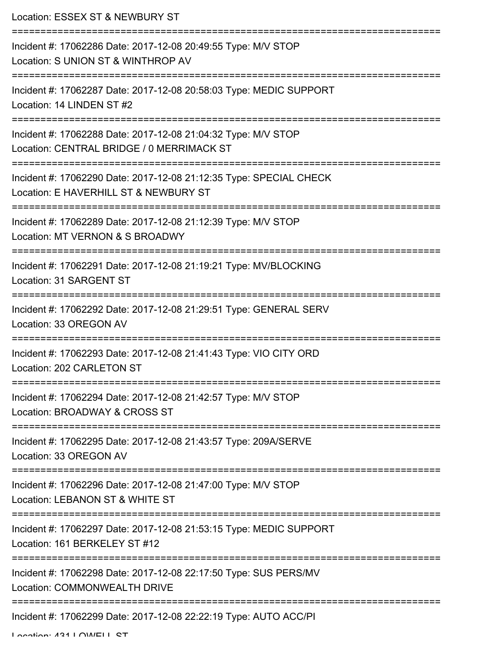| Location: ESSEX ST & NEWBURY ST                                                                                                            |
|--------------------------------------------------------------------------------------------------------------------------------------------|
| Incident #: 17062286 Date: 2017-12-08 20:49:55 Type: M/V STOP<br>Location: S UNION ST & WINTHROP AV                                        |
| Incident #: 17062287 Date: 2017-12-08 20:58:03 Type: MEDIC SUPPORT<br>Location: 14 LINDEN ST #2                                            |
| Incident #: 17062288 Date: 2017-12-08 21:04:32 Type: M/V STOP<br>Location: CENTRAL BRIDGE / 0 MERRIMACK ST                                 |
| ---------------------------<br>Incident #: 17062290 Date: 2017-12-08 21:12:35 Type: SPECIAL CHECK<br>Location: E HAVERHILL ST & NEWBURY ST |
| Incident #: 17062289 Date: 2017-12-08 21:12:39 Type: M/V STOP<br>Location: MT VERNON & S BROADWY                                           |
| Incident #: 17062291 Date: 2017-12-08 21:19:21 Type: MV/BLOCKING<br>Location: 31 SARGENT ST                                                |
| Incident #: 17062292 Date: 2017-12-08 21:29:51 Type: GENERAL SERV<br>Location: 33 OREGON AV                                                |
| Incident #: 17062293 Date: 2017-12-08 21:41:43 Type: VIO CITY ORD<br>Location: 202 CARLETON ST                                             |
| Incident #: 17062294 Date: 2017-12-08 21:42:57 Type: M/V STOP<br>Location: BROADWAY & CROSS ST                                             |
| Incident #: 17062295 Date: 2017-12-08 21:43:57 Type: 209A/SERVE<br>Location: 33 OREGON AV                                                  |
| Incident #: 17062296 Date: 2017-12-08 21:47:00 Type: M/V STOP<br>Location: LEBANON ST & WHITE ST                                           |
| Incident #: 17062297 Date: 2017-12-08 21:53:15 Type: MEDIC SUPPORT<br>Location: 161 BERKELEY ST #12                                        |
| Incident #: 17062298 Date: 2017-12-08 22:17:50 Type: SUS PERS/MV<br>Location: COMMONWEALTH DRIVE                                           |
| Incident #: 17062299 Date: 2017-12-08 22:22:19 Type: AUTO ACC/PI                                                                           |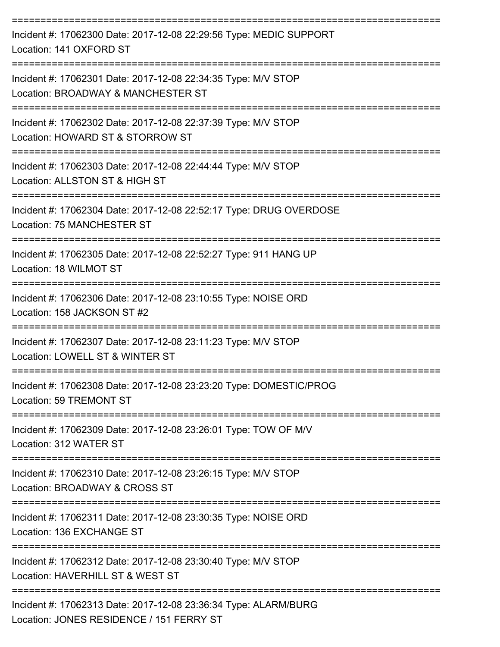| Incident #: 17062300 Date: 2017-12-08 22:29:56 Type: MEDIC SUPPORT<br>Location: 141 OXFORD ST               |
|-------------------------------------------------------------------------------------------------------------|
| Incident #: 17062301 Date: 2017-12-08 22:34:35 Type: M/V STOP<br>Location: BROADWAY & MANCHESTER ST         |
| Incident #: 17062302 Date: 2017-12-08 22:37:39 Type: M/V STOP<br>Location: HOWARD ST & STORROW ST           |
| Incident #: 17062303 Date: 2017-12-08 22:44:44 Type: M/V STOP<br>Location: ALLSTON ST & HIGH ST             |
| Incident #: 17062304 Date: 2017-12-08 22:52:17 Type: DRUG OVERDOSE<br>Location: 75 MANCHESTER ST            |
| Incident #: 17062305 Date: 2017-12-08 22:52:27 Type: 911 HANG UP<br>Location: 18 WILMOT ST                  |
| Incident #: 17062306 Date: 2017-12-08 23:10:55 Type: NOISE ORD<br>Location: 158 JACKSON ST #2               |
| Incident #: 17062307 Date: 2017-12-08 23:11:23 Type: M/V STOP<br>Location: LOWELL ST & WINTER ST            |
| Incident #: 17062308 Date: 2017-12-08 23:23:20 Type: DOMESTIC/PROG<br>Location: 59 TREMONT ST               |
| Incident #: 17062309 Date: 2017-12-08 23:26:01 Type: TOW OF M/V<br>Location: 312 WATER ST                   |
| Incident #: 17062310 Date: 2017-12-08 23:26:15 Type: M/V STOP<br>Location: BROADWAY & CROSS ST              |
| Incident #: 17062311 Date: 2017-12-08 23:30:35 Type: NOISE ORD<br>Location: 136 EXCHANGE ST                 |
| Incident #: 17062312 Date: 2017-12-08 23:30:40 Type: M/V STOP<br>Location: HAVERHILL ST & WEST ST           |
| Incident #: 17062313 Date: 2017-12-08 23:36:34 Type: ALARM/BURG<br>Location: JONES RESIDENCE / 151 FERRY ST |